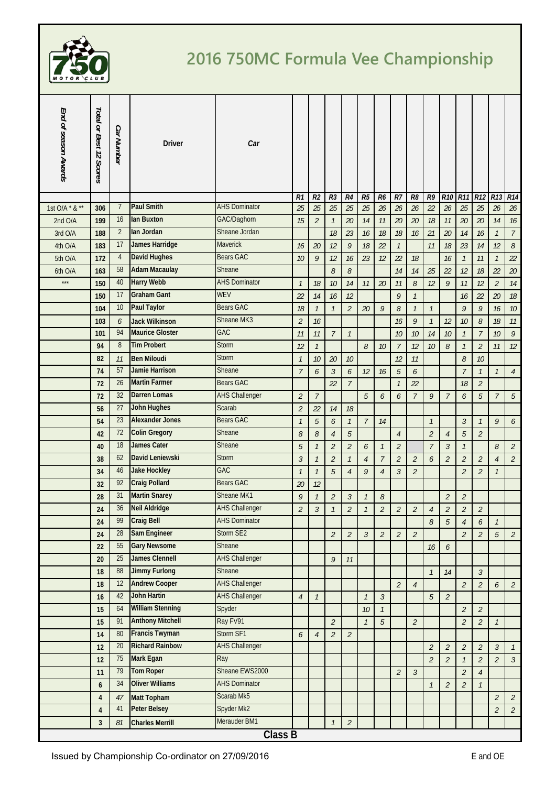

## **2016 750MC Formula Vee Championship**

| End of season Awards | Total or Best 12 Scores | Car Number     | <b>Driver</b>           | Car                   |                |                |                             |                             |                |                          |                          |                             |                |                |                             |                             |                 |                             |
|----------------------|-------------------------|----------------|-------------------------|-----------------------|----------------|----------------|-----------------------------|-----------------------------|----------------|--------------------------|--------------------------|-----------------------------|----------------|----------------|-----------------------------|-----------------------------|-----------------|-----------------------------|
|                      |                         |                |                         |                       | R1             | R <sub>2</sub> | R <sub>3</sub>              | R4                          | R5             | R6                       | $R$ 7                    | R <sub>8</sub>              | R9             | <b>R10</b>     | <b>R11</b>                  | R <sub>12</sub>             | R <sub>13</sub> | R14                         |
| 1st O/A * & **       | 306                     | $\overline{7}$ | <b>Paul Smith</b>       | <b>AHS Dominator</b>  | 25             | 25             | 25                          | 25                          | 25             | 26                       | 26                       | 26                          | 22             | 26             | 25                          | 25                          | 26              | 26                          |
| 2nd O/A              | 199                     | 16             | lan Buxton              | GAC/Daghorn           | 15             | $\overline{c}$ | $\mathcal{I}$               | 20                          | 14             | 11                       | 20                       | 20                          | 18             | 11             | 20                          | 20                          | 14              | 16                          |
| 3rd O/A              | 188                     | 2              | lan Jordan              | Sheane Jordan         |                |                | 18                          | 23                          | 16             | 18                       | 18                       | 16                          | 21             | 20             | 14                          | 16                          | $\mathcal{I}$   | $\overline{7}$              |
| 4th O/A              | 183                     | 17             | James Harridge          | Maverick              | 16             | 20             | 12                          | 9                           | 18             | 22                       | $\mathcal{I}$            |                             | 11             | 18             | 23                          | 14                          | 12              | 8                           |
| 5th O/A              | 172                     | $\overline{4}$ | <b>David Hughes</b>     | <b>Bears GAC</b>      | 10             | 9              | 12                          | 16                          | 23             | 12                       | 22                       | 18                          |                | 16             | $\mathcal{I}$               | 11                          | $\mathcal{I}$   | 22                          |
| 6th O/A              | 163                     | 58             | <b>Adam Macaulay</b>    | Sheane                |                |                | 8                           | 8                           |                |                          | 14                       | 14                          | 25             | 22             | 12                          | 18                          | 22              | $20\,$                      |
| $\star\star\star$    | 150                     | 40             | <b>Harry Webb</b>       | <b>AHS Dominator</b>  | $\mathcal{I}$  | 18             | 10                          | 14                          | 11             | 20                       | 11                       | $\mathcal S$                | 12             | 9              | 11                          | 12                          | $\overline{2}$  | 14                          |
|                      | 150                     | 17             | <b>Graham Gant</b>      | WEV                   | 22             | 14             | 16                          | 12                          |                |                          | $\mathcal{G}$            | $\mathcal{I}$               |                |                | 16                          | 22                          | 20              | 18                          |
|                      | 104                     | 10             | <b>Paul Taylor</b>      | <b>Bears GAC</b>      | 18             | $\mathcal{I}$  | $\mathcal{I}$               | $\overline{2}$              | 20             | 9                        | 8                        | $\mathcal{I}$               | $\mathcal{I}$  |                | 9                           | 9                           | 16              | $10$                        |
|                      | 103                     | 6              | <b>Jack Wilkinson</b>   | Sheane MK3            | $\overline{2}$ | 16             |                             |                             |                |                          | 16                       | 9                           | $\mathcal{I}$  | 12             | 10                          | $\mathcal S$                | 18              | $11$                        |
|                      | 101                     | 94             | <b>Maurice Gloster</b>  | GAC                   | 11             | 11             | $\overline{7}$              | $\mathcal{I}$               |                |                          | 10                       | 10                          | 14             | 10             | $\mathcal{I}$               | $\overline{7}$              | $10$            | 9                           |
|                      | 94                      | 8              | <b>Tim Probert</b>      | <b>Storm</b>          | 12             | $\mathcal{I}$  |                             |                             | 8              | 10                       | $\overline{7}$           | 12                          | 10             | 8              | $\mathcal{I}$               | $\mathcal{L}_{\mathcal{L}}$ | 11              | 12                          |
|                      | 82                      | 11             | <b>Ben Miloudi</b>      | <b>Storm</b>          | $\mathcal{I}$  | 10             | 20                          | 10                          |                |                          | 12                       | 11                          |                |                | $\mathcal S$                | 10                          |                 |                             |
|                      | 74                      | 57             | <b>Jamie Harrison</b>   | Sheane                | $\overline{7}$ | 6              | $\mathfrak{Z}$              | 6                           | 12             | 16                       | $\sqrt{5}$               | 6                           |                |                | $\overline{7}$              | $\mathcal{I}$               | $\mathcal{I}$   | $\overline{4}$              |
|                      | 72                      | 26             | <b>Martin Farmer</b>    | <b>Bears GAC</b>      |                |                | 22                          | $\overline{7}$              |                |                          | $\overline{1}$           | 22                          |                |                | 18                          | $\overline{2}$              |                 |                             |
|                      | 72                      | 32             | <b>Darren Lomas</b>     | <b>AHS Challenger</b> | $\overline{2}$ | $\overline{7}$ |                             |                             | 5              | 6                        | 6                        | $\overline{7}$              | 9              | 7              | 6                           | 5                           | $\overline{7}$  | 5                           |
|                      | 56                      | 27             | <b>John Hughes</b>      | Scarab                | $\overline{2}$ | 22             | 14                          | 18                          |                |                          |                          |                             |                |                |                             |                             |                 |                             |
|                      | 54                      | 23             | <b>Alexander Jones</b>  | <b>Bears GAC</b>      | $\overline{1}$ | 5              | 6                           | $\mathcal{I}$               | $\overline{7}$ | 14                       |                          |                             | $\mathcal{I}$  |                | $\overline{3}$              | $\mathcal{I}$               | 9               | 6                           |
|                      | 42                      | 72             | <b>Colin Gregory</b>    | Sheane                | 8              | 8              | $\overline{4}$              | 5                           |                |                          | $\overline{4}$           |                             | $\overline{2}$ | $\overline{4}$ | $\overline{5}$              | $\overline{a}$              |                 |                             |
|                      | 40                      | 18             | <b>James Cater</b>      | Sheane                | $\sqrt{5}$     | $\mathcal{I}$  | $\overline{2}$              | $\mathcal{L}_{\mathcal{L}}$ | 6              | $\mathcal{I}$            | $\overline{2}$           |                             | $\overline{7}$ | $\mathfrak{Z}$ | $\mathcal{I}$               |                             | 8               | $\overline{2}$              |
|                      | 38                      | 62             | David Leniewski         | <b>Storm</b>          | $\mathfrak{Z}$ | $\mathcal{I}$  | $\overline{2}$              | $\mathcal{I}$               | $\overline{4}$ | $\overline{7}$           | $\overline{2}$           | $\mathcal{L}_{\mathcal{L}}$ | 6              | $\overline{2}$ | $\overline{2}$              | $\overline{2}$              | $\overline{4}$  | $\overline{2}$              |
|                      | 34                      | 46             | <b>Jake Hockley</b>     | GAC                   | $\mathcal{I}$  | $\mathcal{I}$  | 5                           | $\overline{4}$              | 9              | $\overline{4}$           | $\mathfrak{Z}$           | $\overline{2}$              |                |                | $\overline{2}$              | $\overline{2}$              | $\mathcal{I}$   |                             |
|                      | 32                      | 92             | <b>Craig Pollard</b>    | <b>Bears GAC</b>      | 20             | 12             |                             |                             |                |                          |                          |                             |                |                |                             |                             |                 |                             |
|                      | 28                      | 31             | <b>Martin Snarey</b>    | Sheane MK1            | 9              | $\mathcal{I}$  | $\overline{2}$              | $\mathfrak{Z}$              | $\mathcal{I}$  | 8                        |                          |                             |                | $\overline{2}$ | $\mathfrak{2}$              |                             |                 |                             |
|                      | 24                      | 36             | <b>Neil Aldridge</b>    | <b>AHS Challenger</b> | 2              | 3              |                             | 2                           | $\mathcal{I}$  | $\overline{\mathcal{L}}$ | $\overline{\mathcal{L}}$ | $\mathcal{Z}_{\mathcal{C}}$ | $\overline{4}$ | 2              | 2                           | 2                           |                 |                             |
|                      | 24                      | 99             | <b>Craig Bell</b>       | <b>AHS Dominator</b>  |                |                |                             |                             |                |                          |                          |                             | 8              | 5              | $\overline{4}$              | 6                           | $\mathcal{I}$   |                             |
|                      | 24                      | 28             | <b>Sam Engineer</b>     | Storm SE2             |                |                | $\overline{2}$              | $\mathfrak{2}$              | $\mathfrak{Z}$ | $\overline{c}$           | $\overline{2}$           | $\overline{2}$              |                |                | $\overline{a}$              | $\overline{a}$              | $\sqrt{5}$      | $\overline{a}$              |
|                      | 22                      | 55             | <b>Gary Newsome</b>     | Sheane                |                |                |                             |                             |                |                          |                          |                             | $16$           | 6              |                             |                             |                 |                             |
|                      | 20                      | 25             | <b>James Clennell</b>   | <b>AHS Challenger</b> |                |                | 9                           | 11                          |                |                          |                          |                             |                |                |                             |                             |                 |                             |
|                      | 18                      | 88             | <b>Jimmy Furlong</b>    | Sheane                |                |                |                             |                             |                |                          |                          |                             | $\mathcal{I}$  | 14             |                             | $\mathfrak{Z}$              |                 |                             |
|                      | 18                      | 12             | <b>Andrew Cooper</b>    | <b>AHS Challenger</b> |                |                |                             |                             |                |                          | $\sqrt{2}$               | $\sqrt{4}$                  |                |                | $\mathcal{L}_{\mathcal{L}}$ | $\overline{c}$              | 6               | $\overline{2}$              |
|                      | 16                      | 42             | <b>John Hartin</b>      | <b>AHS Challenger</b> | $\overline{4}$ | $\mathcal{I}$  |                             |                             | $\mathcal{I}$  | $\mathfrak{Z}$           |                          |                             | $\overline{5}$ | $\overline{2}$ |                             |                             |                 |                             |
|                      | 15                      | 64             | <b>William Stenning</b> | Spyder                |                |                |                             |                             | 10             | $\mathcal{I}$            |                          |                             |                |                | $\mathfrak{2}$              | $\mathfrak{2}$              |                 |                             |
|                      | 15                      | 91             | <b>Anthony Mitchell</b> | Ray FV91              |                |                | $\overline{2}$              |                             | $\mathcal{I}$  | 5                        |                          | $\mathfrak{2}$              |                |                | $\overline{a}$              | $\mathfrak{2}$              | $\mathcal{I}$   |                             |
|                      | 14                      | 80             | <b>Francis Twyman</b>   | Storm SF1             | 6              | $\sqrt{4}$     | $\mathcal{L}_{\mathcal{L}}$ | $\mathfrak{2}$              |                |                          |                          |                             |                |                |                             |                             |                 |                             |
|                      | 12                      | 20             | <b>Richard Rainbow</b>  | <b>AHS Challenger</b> |                |                |                             |                             |                |                          |                          |                             | $\overline{2}$ | $\overline{2}$ | $\mathfrak{2}$              | $\mathfrak{2}$              | $\mathfrak{Z}$  | $\mathcal{I}$               |
|                      | 12                      | 75             | Mark Egan               | Ray                   |                |                |                             |                             |                |                          |                          |                             | $\overline{2}$ | $\overline{2}$ | $\mathcal{I}$               | $\mathfrak{2}$              | $\overline{2}$  | $\mathfrak{Z}$              |
|                      | 11                      | 79             | <b>Tom Roper</b>        | Sheane EWS2000        |                |                |                             |                             |                |                          | $\overline{2}$           | $\mathfrak{Z}$              |                |                | $\overline{a}$              | $\overline{4}$              |                 |                             |
|                      | 6                       | 34             | <b>Oliver Williams</b>  | <b>AHS Dominator</b>  |                |                |                             |                             |                |                          |                          |                             | $\mathcal{I}$  | $\overline{2}$ | $\mathfrak{2}$              | $\mathcal{I}$               |                 |                             |
|                      | $\overline{4}$          | 47             | <b>Matt Topham</b>      | Scarab Mk5            |                |                |                             |                             |                |                          |                          |                             |                |                |                             |                             | $\overline{2}$  | $\mathcal{L}_{\mathcal{L}}$ |
|                      | 4                       | 41             | <b>Peter Belsey</b>     | Spyder Mk2            |                |                |                             |                             |                |                          |                          |                             |                |                |                             |                             | $\overline{a}$  | $\mathfrak{2}$              |
|                      | 3                       | 81             | <b>Charles Merrill</b>  | Merauder BM1          |                |                | $\mathcal{I}$               | $\overline{c}$              |                |                          |                          |                             |                |                |                             |                             |                 |                             |
|                      |                         |                |                         | <b>Class B</b>        |                |                |                             |                             |                |                          |                          |                             |                |                |                             |                             |                 |                             |